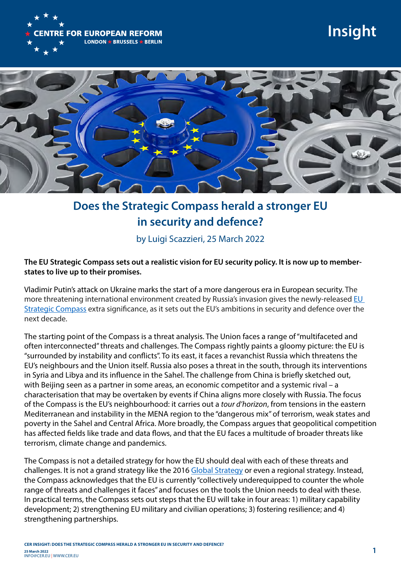

# **Insight**



### **Does the Strategic Compass herald a stronger EU in security and defence?**

by Luigi Scazzieri, 25 March 2022

#### **The EU Strategic Compass sets out a realistic vision for EU security policy. It is now up to memberstates to live up to their promises.**

Vladimir Putin's attack on Ukraine marks the start of a more dangerous era in European security. The more threatening international environment created by Russia's invasion gives the newly-released [EU](https://eeas.europa.eu/sites/default/files/strategic_compass_en3_web.pdf)  [Strategic Compass](https://eeas.europa.eu/sites/default/files/strategic_compass_en3_web.pdf) extra significance, as it sets out the EU's ambitions in security and defence over the next decade.

The starting point of the Compass is a threat analysis. The Union faces a range of "multifaceted and often interconnected" threats and challenges. The Compass rightly paints a gloomy picture: the EU is "surrounded by instability and conflicts". To its east, it faces a revanchist Russia which threatens the EU's neighbours and the Union itself. Russia also poses a threat in the south, through its interventions in Syria and Libya and its influence in the Sahel. The challenge from China is briefly sketched out, with Beijing seen as a partner in some areas, an economic competitor and a systemic rival – a characterisation that may be overtaken by events if China aligns more closely with Russia. The focus of the Compass is the EU's neighbourhood: it carries out a *tour d'horizon*, from tensions in the eastern Mediterranean and instability in the MENA region to the "dangerous mix" of terrorism, weak states and poverty in the Sahel and Central Africa. More broadly, the Compass argues that geopolitical competition has affected fields like trade and data flows, and that the EU faces a multitude of broader threats like terrorism, climate change and pandemics.

The Compass is not a detailed strategy for how the EU should deal with each of these threats and challenges. It is not a grand strategy like the 2016 [Global Strategy](https://eeas.europa.eu/archives/docs/top_stories/pdf/eugs_review_web.pdf) or even a regional strategy. Instead, the Compass acknowledges that the EU is currently "collectively underequipped to counter the whole range of threats and challenges it faces" and focuses on the tools the Union needs to deal with these. In practical terms, the Compass sets out steps that the EU will take in four areas: 1) military capability development; 2) strengthening EU military and civilian operations; 3) fostering resilience; and 4) strengthening partnerships.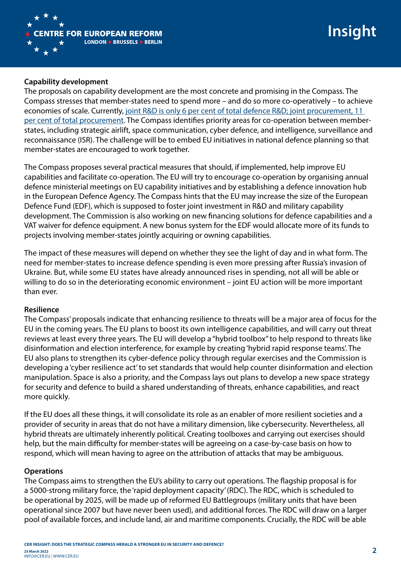

## **Insight**

#### **Capability development**

The proposals on capability development are the most concrete and promising in the Compass. The Compass stresses that member-states need to spend more – and do so more co-operatively – to achieve economies of scale. Currently, [joint R&D is only 6 per cent of total defence R&D; joint procurement, 11](https://eda.europa.eu/docs/default-source/brochures/eda---defence-data-report-2019-2020.pdf)  [per cent of total procurement.](https://eda.europa.eu/docs/default-source/brochures/eda---defence-data-report-2019-2020.pdf) The Compass identifies priority areas for co-operation between memberstates, including strategic airlift, space communication, cyber defence, and intelligence, surveillance and reconnaissance (ISR). The challenge will be to embed EU initiatives in national defence planning so that member-states are encouraged to work together.

The Compass proposes several practical measures that should, if implemented, help improve EU capabilities and facilitate co-operation. The EU will try to encourage co-operation by organising annual defence ministerial meetings on EU capability initiatives and by establishing a defence innovation hub in the European Defence Agency. The Compass hints that the EU may increase the size of the European Defence Fund (EDF), which is supposed to foster joint investment in R&D and military capability development. The Commission is also working on new financing solutions for defence capabilities and a VAT waiver for defence equipment. A new bonus system for the EDF would allocate more of its funds to projects involving member-states jointly acquiring or owning capabilities.

The impact of these measures will depend on whether they see the light of day and in what form. The need for member-states to increase defence spending is even more pressing after Russia's invasion of Ukraine. But, while some EU states have already announced rises in spending, not all will be able or willing to do so in the deteriorating economic environment – joint EU action will be more important than ever.

#### **Resilience**

The Compass' proposals indicate that enhancing resilience to threats will be a major area of focus for the EU in the coming years. The EU plans to boost its own intelligence capabilities, and will carry out threat reviews at least every three years. The EU will develop a "hybrid toolbox" to help respond to threats like disinformation and election interference, for example by creating 'hybrid rapid response teams'. The EU also plans to strengthen its cyber-defence policy through regular exercises and the Commission is developing a 'cyber resilience act' to set standards that would help counter disinformation and election manipulation. Space is also a priority, and the Compass lays out plans to develop a new space strategy for security and defence to build a shared understanding of threats, enhance capabilities, and react more quickly.

If the EU does all these things, it will consolidate its role as an enabler of more resilient societies and a provider of security in areas that do not have a military dimension, like cybersecurity. Nevertheless, all hybrid threats are ultimately inherently political. Creating toolboxes and carrying out exercises should help, but the main difficulty for member-states will be agreeing on a case-by-case basis on how to respond, which will mean having to agree on the attribution of attacks that may be ambiguous.

#### **Operations**

The Compass aims to strengthen the EU's ability to carry out operations. The flagship proposal is for a 5000-strong military force, the 'rapid deployment capacity' (RDC). The RDC, which is scheduled to be operational by 2025, will be made up of reformed EU Battlegroups (military units that have been operational since 2007 but have never been used), and additional forces. The RDC will draw on a larger pool of available forces, and include land, air and maritime components. Crucially, the RDC will be able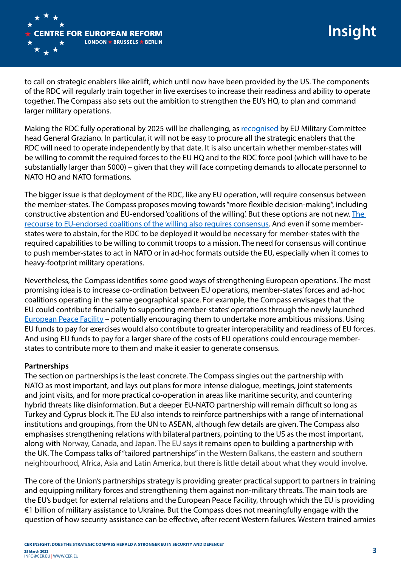

to call on strategic enablers like airlift, which until now have been provided by the US. The components of the RDC will regularly train together in live exercises to increase their readiness and ability to operate together. The Compass also sets out the ambition to strengthen the EU's HQ, to plan and command larger military operations.

Making the RDC fully operational by 2025 will be challenging, as [recognised](https://foreignpolicy.com/2022/03/20/is-an-eu-army-coming/) by EU Military Committee head General Graziano. In particular, it will not be easy to procure all the strategic enablers that the RDC will need to operate independently by that date. It is also uncertain whether member-states will be willing to commit the required forces to the EU HQ and to the RDC force pool (which will have to be substantially larger than 5000) – given that they will face competing demands to allocate personnel to NATO HQ and NATO formations.

The bigger issue is that deployment of the RDC, like any EU operation, will require consensus between the member-states. The Compass proposes moving towards "more flexible decision-making", including constructive abstention and EU-endorsed 'coalitions of the willing'. But these options are not new. [The](https://www.cer.eu/insights/could-eu-endorsed-coalitions-willing)  [recourse to EU-endorsed coalitions of the willing also requires consensus.](https://www.cer.eu/insights/could-eu-endorsed-coalitions-willing) And even if some memberstates were to abstain, for the RDC to be deployed it would be necessary for member-states with the required capabilities to be willing to commit troops to a mission. The need for consensus will continue to push member-states to act in NATO or in ad-hoc formats outside the EU, especially when it comes to heavy-footprint military operations.

Nevertheless, the Compass identifies some good ways of strengthening European operations. The most promising idea is to increase co-ordination between EU operations, member-states' forces and ad-hoc coalitions operating in the same geographical space. For example, the Compass envisages that the EU could contribute financially to supporting member-states' operations through the newly launched [European Peace Facility](https://www.cer.eu/insights/european-peace-facility-really-about-peace) – potentially encouraging them to undertake more ambitious missions. Using EU funds to pay for exercises would also contribute to greater interoperability and readiness of EU forces. And using EU funds to pay for a larger share of the costs of EU operations could encourage memberstates to contribute more to them and make it easier to generate consensus.

#### **Partnerships**

The section on partnerships is the least concrete. The Compass singles out the partnership with NATO as most important, and lays out plans for more intense dialogue, meetings, joint statements and joint visits, and for more practical co-operation in areas like maritime security, and countering hybrid threats like disinformation. But a deeper EU-NATO partnership will remain difficult so long as Turkey and Cyprus block it. The EU also intends to reinforce partnerships with a range of international institutions and groupings, from the UN to ASEAN, although few details are given. The Compass also emphasises strengthening relations with bilateral partners, pointing to the US as the most important, along with Norway, Canada, and Japan. The EU says it remains open to building a partnership with the UK. The Compass talks of "tailored partnerships" in the Western Balkans, the eastern and southern neighbourhood, Africa, Asia and Latin America, but there is little detail about what they would involve.

The core of the Union's partnerships strategy is providing greater practical support to partners in training and equipping military forces and strengthening them against non-military threats. The main tools are the EU's budget for external relations and the European Peace Facility, through which the EU is providing €1 billion of military assistance to Ukraine. But the Compass does not meaningfully engage with the question of how security assistance can be effective, after recent Western failures. Western trained armies